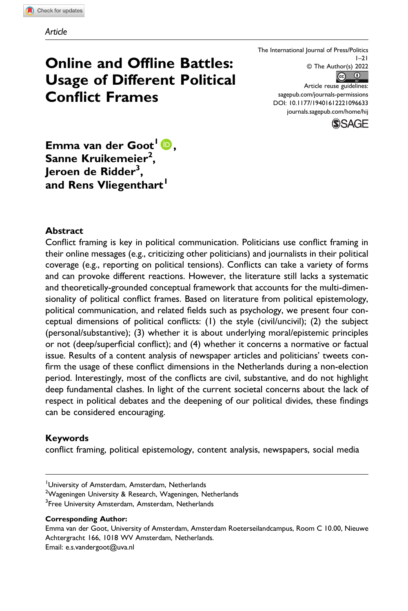# Online and Offline Battles: Usage of Different Political Conflict Frames

The International Journal of Press/Politics  $1 - 21$ © The Author(s) 2022  $\odot$   $\odot$ Article reuse guidelines: [sagepub.com/journals-permissions](https://us.sagepub.com/en-us/journals-permissions)

DOI: 10.1177/19401612221096633 [journals.sagepub.com/home/hij](https://journals.sagepub.com/home/hij)



Emma van der Goot<sup>1</sup> D,  ${\sf Same}$  Kruikemeier $^2,$ Jeroen de Ridder<sup>3</sup>, and Rens Vliegenthart<sup>1</sup>

## Abstract

Conflict framing is key in political communication. Politicians use conflict framing in their online messages (e.g., criticizing other politicians) and journalists in their political coverage (e.g., reporting on political tensions). Conflicts can take a variety of forms and can provoke different reactions. However, the literature still lacks a systematic and theoretically-grounded conceptual framework that accounts for the multi-dimensionality of political conflict frames. Based on literature from political epistemology, political communication, and related fields such as psychology, we present four conceptual dimensions of political conflicts: (1) the style (civil/uncivil); (2) the subject (personal/substantive); (3) whether it is about underlying moral/epistemic principles or not (deep/superficial conflict); and (4) whether it concerns a normative or factual issue. Results of a content analysis of newspaper articles and politicians' tweets confirm the usage of these conflict dimensions in the Netherlands during a non-election period. Interestingly, most of the conflicts are civil, substantive, and do not highlight deep fundamental clashes. In light of the current societal concerns about the lack of respect in political debates and the deepening of our political divides, these findings can be considered encouraging.

## Keywords

conflict framing, political epistemology, content analysis, newspapers, social media

<sup>2</sup>Wageningen University & Research, Wageningen, Netherlands

#### Corresponding Author:

Emma van der Goot, University of Amsterdam, Amsterdam Roeterseilandcampus, Room C 10.00, Nieuwe Achtergracht 166, 1018 WV Amsterdam, Netherlands. Email: [e.s.vandergoot@uva.nl](mailto:e.s.vandergoot@uva.nl)

<sup>&</sup>lt;sup>1</sup>University of Amsterdam, Amsterdam, Netherlands

<sup>&</sup>lt;sup>3</sup>Free University Amsterdam, Amsterdam, Netherlands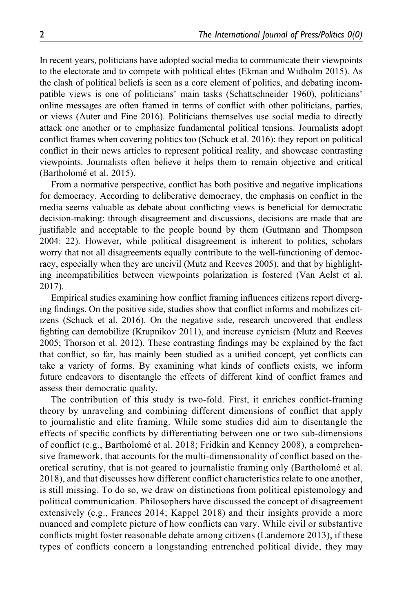In recent years, politicians have adopted social media to communicate their viewpoints to the electorate and to compete with political elites (Ekman and Widholm 2015). As the clash of political beliefs is seen as a core element of politics, and debating incompatible views is one of politicians' main tasks (Schattschneider 1960), politicians' online messages are often framed in terms of conflict with other politicians, parties, or views (Auter and Fine 2016). Politicians themselves use social media to directly attack one another or to emphasize fundamental political tensions. Journalists adopt conflict frames when covering politics too (Schuck et al. 2016): they report on political conflict in their news articles to represent political reality, and showcase contrasting viewpoints. Journalists often believe it helps them to remain objective and critical (Bartholomé et al. 2015).

From a normative perspective, conflict has both positive and negative implications for democracy. According to deliberative democracy, the emphasis on conflict in the media seems valuable as debate about conflicting views is beneficial for democratic decision-making: through disagreement and discussions, decisions are made that are justifiable and acceptable to the people bound by them (Gutmann and Thompson 2004: 22). However, while political disagreement is inherent to politics, scholars worry that not all disagreements equally contribute to the well-functioning of democracy, especially when they are uncivil (Mutz and Reeves 2005), and that by highlighting incompatibilities between viewpoints polarization is fostered (Van Aelst et al. 2017).

Empirical studies examining how conflict framing influences citizens report diverging findings. On the positive side, studies show that conflict informs and mobilizes citizens (Schuck et al. 2016). On the negative side, research uncovered that endless fighting can demobilize (Krupnikov 2011), and increase cynicism (Mutz and Reeves 2005; Thorson et al. 2012). These contrasting findings may be explained by the fact that conflict, so far, has mainly been studied as a unified concept, yet conflicts can take a variety of forms. By examining what kinds of conflicts exists, we inform future endeavors to disentangle the effects of different kind of conflict frames and assess their democratic quality.

The contribution of this study is two-fold. First, it enriches conflict-framing theory by unraveling and combining different dimensions of conflict that apply to journalistic and elite framing. While some studies did aim to disentangle the effects of specific conflicts by differentiating between one or two sub-dimensions of conflict (e.g., Bartholomé et al. 2018; Fridkin and Kenney 2008), a comprehensive framework, that accounts for the multi-dimensionality of conflict based on theoretical scrutiny, that is not geared to journalistic framing only (Bartholomé et al. 2018), and that discusses how different conflict characteristics relate to one another, is still missing. To do so, we draw on distinctions from political epistemology and political communication. Philosophers have discussed the concept of disagreement extensively (e.g., Frances 2014; Kappel 2018) and their insights provide a more nuanced and complete picture of how conflicts can vary. While civil or substantive conflicts might foster reasonable debate among citizens (Landemore 2013), if these types of conflicts concern a longstanding entrenched political divide, they may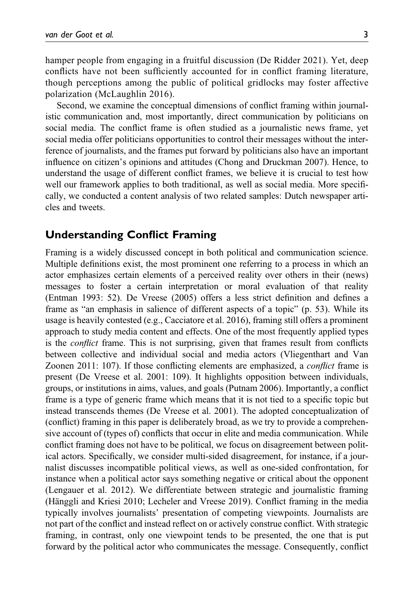hamper people from engaging in a fruitful discussion (De Ridder 2021). Yet, deep conflicts have not been sufficiently accounted for in conflict framing literature, though perceptions among the public of political gridlocks may foster affective polarization (McLaughlin 2016).

Second, we examine the conceptual dimensions of conflict framing within journalistic communication and, most importantly, direct communication by politicians on social media. The conflict frame is often studied as a journalistic news frame, yet social media offer politicians opportunities to control their messages without the interference of journalists, and the frames put forward by politicians also have an important influence on citizen's opinions and attitudes (Chong and Druckman 2007). Hence, to understand the usage of different conflict frames, we believe it is crucial to test how well our framework applies to both traditional, as well as social media. More specifically, we conducted a content analysis of two related samples: Dutch newspaper articles and tweets.

# Understanding Conflict Framing

Framing is a widely discussed concept in both political and communication science. Multiple definitions exist, the most prominent one referring to a process in which an actor emphasizes certain elements of a perceived reality over others in their (news) messages to foster a certain interpretation or moral evaluation of that reality (Entman 1993: 52). De Vreese (2005) offers a less strict definition and defines a frame as "an emphasis in salience of different aspects of a topic" (p. 53). While its usage is heavily contested (e.g., Cacciatore et al. 2016), framing still offers a prominent approach to study media content and effects. One of the most frequently applied types is the *conflict* frame. This is not surprising, given that frames result from conflicts between collective and individual social and media actors (Vliegenthart and Van Zoonen 2011: 107). If those conflicting elements are emphasized, a conflict frame is present (De Vreese et al. 2001: 109). It highlights opposition between individuals, groups, or institutions in aims, values, and goals (Putnam 2006). Importantly, a conflict frame is a type of generic frame which means that it is not tied to a specific topic but instead transcends themes (De Vreese et al. 2001). The adopted conceptualization of (conflict) framing in this paper is deliberately broad, as we try to provide a comprehensive account of (types of) conflicts that occur in elite and media communication. While conflict framing does not have to be political, we focus on disagreement between political actors. Specifically, we consider multi-sided disagreement, for instance, if a journalist discusses incompatible political views, as well as one-sided confrontation, for instance when a political actor says something negative or critical about the opponent (Lengauer et al. 2012). We differentiate between strategic and journalistic framing (Hänggli and Kriesi 2010; Lecheler and Vreese 2019). Conflict framing in the media typically involves journalists' presentation of competing viewpoints. Journalists are not part of the conflict and instead reflect on or actively construe conflict. With strategic framing, in contrast, only one viewpoint tends to be presented, the one that is put forward by the political actor who communicates the message. Consequently, conflict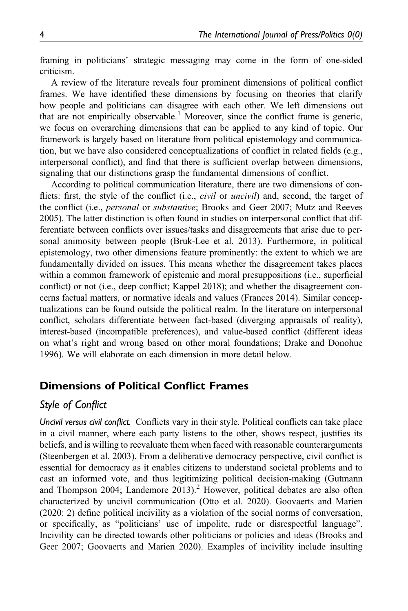framing in politicians' strategic messaging may come in the form of one-sided criticism.

A review of the literature reveals four prominent dimensions of political conflict frames. We have identified these dimensions by focusing on theories that clarify how people and politicians can disagree with each other. We left dimensions out that are not empirically observable.<sup>1</sup> Moreover, since the conflict frame is generic, we focus on overarching dimensions that can be applied to any kind of topic. Our framework is largely based on literature from political epistemology and communication, but we have also considered conceptualizations of conflict in related fields (e.g., interpersonal conflict), and find that there is sufficient overlap between dimensions, signaling that our distinctions grasp the fundamental dimensions of conflict.

According to political communication literature, there are two dimensions of conflicts: first, the style of the conflict (i.e., *civil* or *uncivil*) and, second, the target of the conflict (i.e., personal or substantive; Brooks and Geer 2007; Mutz and Reeves 2005). The latter distinction is often found in studies on interpersonal conflict that differentiate between conflicts over issues/tasks and disagreements that arise due to personal animosity between people (Bruk-Lee et al. 2013). Furthermore, in political epistemology, two other dimensions feature prominently: the extent to which we are fundamentally divided on issues. This means whether the disagreement takes places within a common framework of epistemic and moral presuppositions (i.e., superficial conflict) or not (i.e., deep conflict; Kappel 2018); and whether the disagreement concerns factual matters, or normative ideals and values (Frances 2014). Similar conceptualizations can be found outside the political realm. In the literature on interpersonal conflict, scholars differentiate between fact-based (diverging appraisals of reality), interest-based (incompatible preferences), and value-based conflict (different ideas on what's right and wrong based on other moral foundations; Drake and Donohue 1996). We will elaborate on each dimension in more detail below.

# Dimensions of Political Conflict Frames

# Style of Conflict

Uncivil versus civil conflict. Conflicts vary in their style. Political conflicts can take place in a civil manner, where each party listens to the other, shows respect, justifies its beliefs, and is willing to reevaluate them when faced with reasonable counterarguments (Steenbergen et al. 2003). From a deliberative democracy perspective, civil conflict is essential for democracy as it enables citizens to understand societal problems and to cast an informed vote, and thus legitimizing political decision-making (Gutmann and Thompson 2004; Landemore 2013).<sup>2</sup> However, political debates are also often characterized by uncivil communication (Otto et al. 2020). Goovaerts and Marien (2020: 2) define political incivility as a violation of the social norms of conversation, or specifically, as "politicians' use of impolite, rude or disrespectful language". Incivility can be directed towards other politicians or policies and ideas (Brooks and Geer 2007; Goovaerts and Marien 2020). Examples of incivility include insulting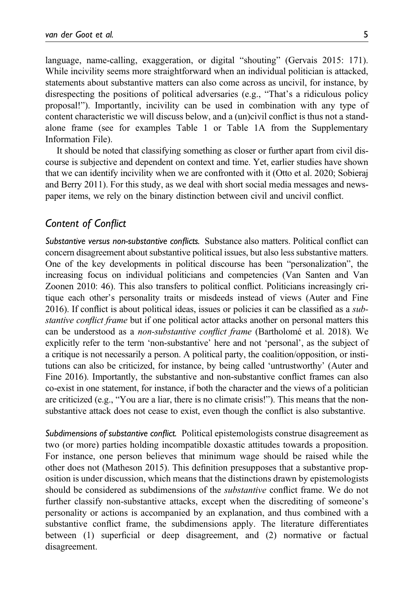language, name-calling, exaggeration, or digital "shouting" (Gervais 2015: 171). While incivility seems more straightforward when an individual politician is attacked, statements about substantive matters can also come across as uncivil, for instance, by disrespecting the positions of political adversaries (e.g., "That's a ridiculous policy proposal!"). Importantly, incivility can be used in combination with any type of content characteristic we will discuss below, and a (un)civil conflict is thus not a standalone frame (see for examples Table 1 or [Table 1A from the Supplementary](https://journals.sagepub.com/doi/suppl/10.1177/19401612221096633) [Information File\)](https://journals.sagepub.com/doi/suppl/10.1177/19401612221096633).

It should be noted that classifying something as closer or further apart from civil discourse is subjective and dependent on context and time. Yet, earlier studies have shown that we can identify incivility when we are confronted with it (Otto et al. 2020; Sobieraj and Berry 2011). For this study, as we deal with short social media messages and newspaper items, we rely on the binary distinction between civil and uncivil conflict.

# Content of Conflict

Substantive versus non-substantive conflicts. Substance also matters. Political conflict can concern disagreement about substantive political issues, but also less substantive matters. One of the key developments in political discourse has been "personalization", the increasing focus on individual politicians and competencies (Van Santen and Van Zoonen 2010: 46). This also transfers to political conflict. Politicians increasingly critique each other's personality traits or misdeeds instead of views (Auter and Fine 2016). If conflict is about political ideas, issues or policies it can be classified as a substantive conflict frame but if one political actor attacks another on personal matters this can be understood as a non-substantive conflict frame (Bartholomé et al. 2018). We explicitly refer to the term 'non-substantive' here and not 'personal', as the subject of a critique is not necessarily a person. A political party, the coalition/opposition, or institutions can also be criticized, for instance, by being called 'untrustworthy' (Auter and Fine 2016). Importantly, the substantive and non-substantive conflict frames can also co-exist in one statement, for instance, if both the character and the views of a politician are criticized (e.g., "You are a liar, there is no climate crisis!"). This means that the nonsubstantive attack does not cease to exist, even though the conflict is also substantive.

Subdimensions of substantive conflict. Political epistemologists construe disagreement as two (or more) parties holding incompatible doxastic attitudes towards a proposition. For instance, one person believes that minimum wage should be raised while the other does not (Matheson 2015). This definition presupposes that a substantive proposition is under discussion, which means that the distinctions drawn by epistemologists should be considered as subdimensions of the *substantive* conflict frame. We do not further classify non-substantive attacks, except when the discrediting of someone's personality or actions is accompanied by an explanation, and thus combined with a substantive conflict frame, the subdimensions apply. The literature differentiates between (1) superficial or deep disagreement, and (2) normative or factual disagreement.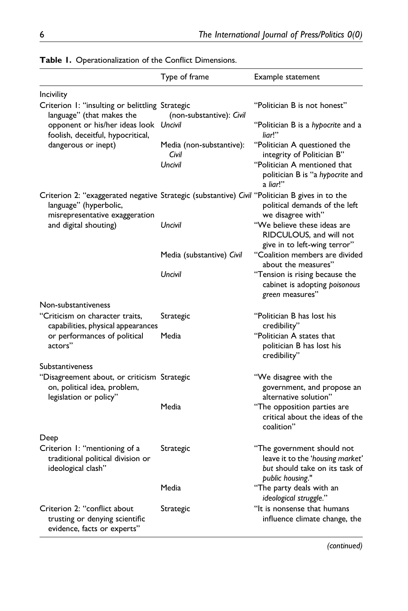|                                                                                                                                                            | Type of frame                                | Example statement                                                                                                                                    |
|------------------------------------------------------------------------------------------------------------------------------------------------------------|----------------------------------------------|------------------------------------------------------------------------------------------------------------------------------------------------------|
| Incivility                                                                                                                                                 |                                              |                                                                                                                                                      |
| Criterion 1: "insulting or belittling Strategic<br>language" (that makes the<br>opponent or his/her ideas look Uncivil                                     | (non-substantive): Civil                     | "Politician B is not honest"<br>"Politician B is a hypocrite and a                                                                                   |
| foolish, deceitful, hypocritical,<br>dangerous or inept)                                                                                                   | Media (non-substantive):<br>Civil<br>Uncivil | liar!"<br>"Politician A questioned the<br>integrity of Politician B"<br>"Politician A mentioned that<br>politician B is "a hypocrite and<br>a liar!" |
| Criterion 2: "exaggerated negative Strategic (substantive) Civil "Politician B gives in to the<br>language" (hyperbolic,<br>misrepresentative exaggeration |                                              | political demands of the left<br>we disagree with"                                                                                                   |
| and digital shouting)                                                                                                                                      | Uncivil                                      | "We believe these ideas are<br>RIDCULOUS, and will not<br>give in to left-wing terror"                                                               |
|                                                                                                                                                            | Media (substantive) Civil                    | "Coalition members are divided<br>about the measures"                                                                                                |
|                                                                                                                                                            | Uncivil                                      | "Tension is rising because the<br>cabinet is adopting poisonous<br>green measures"                                                                   |
| Non-substantiveness                                                                                                                                        |                                              |                                                                                                                                                      |
| "Criticism on character traits,<br>capabilities, physical appearances                                                                                      | Strategic                                    | "Politician B has lost his<br>credibility"                                                                                                           |
| or performances of political<br>actors"                                                                                                                    | Media                                        | "Politician A states that<br>politician B has lost his<br>credibility"                                                                               |
| Substantiveness                                                                                                                                            |                                              |                                                                                                                                                      |
| "Disagreement about, or criticism Strategic<br>on, political idea, problem,<br>legislation or policy"                                                      |                                              | "We disagree with the<br>government, and propose an<br>alternative solution"                                                                         |
|                                                                                                                                                            | Media                                        | "The opposition parties are<br>critical about the ideas of the<br>coalition"                                                                         |
| Deep                                                                                                                                                       |                                              |                                                                                                                                                      |
| Criterion 1: "mentioning of a<br>traditional political division or<br>ideological clash"                                                                   | Strategic                                    | "The government should not<br>leave it to the 'housing market'<br>but should take on its task of<br>public housing."                                 |
|                                                                                                                                                            | Media                                        | "The party deals with an<br>ideological struggle."                                                                                                   |
| Criterion 2: "conflict about<br>trusting or denying scientific<br>evidence, facts or experts"                                                              | Strategic                                    | "It is nonsense that humans<br>influence climate change, the                                                                                         |

| Table I. Operationalization of the Conflict Dimensions. |  |
|---------------------------------------------------------|--|
|                                                         |  |

(continued)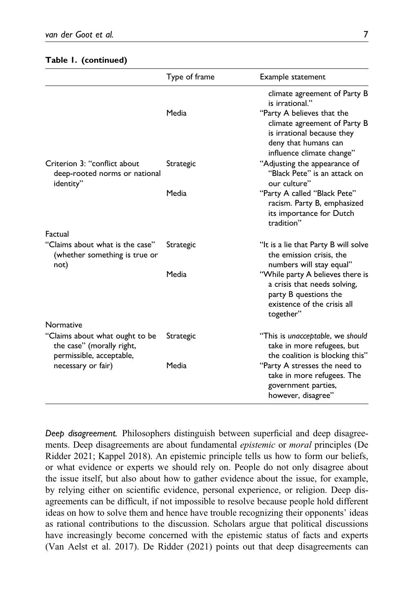|                                                                                                               | Type of frame | Example statement                                                                                                                                                                                |
|---------------------------------------------------------------------------------------------------------------|---------------|--------------------------------------------------------------------------------------------------------------------------------------------------------------------------------------------------|
|                                                                                                               | Media         | climate agreement of Party B<br>is irrational."<br>"Party A believes that the<br>climate agreement of Party B<br>is irrational because they<br>deny that humans can<br>influence climate change" |
| Criterion 3: "conflict about<br>deep-rooted norms or national<br>identity"                                    | Strategic     | "Adjusting the appearance of<br>"Black Pete" is an attack on<br>our culture"                                                                                                                     |
|                                                                                                               | Media         | "Party A called "Black Pete"<br>racism. Party B, emphasized<br>its importance for Dutch<br>tradition"                                                                                            |
| Factual                                                                                                       |               |                                                                                                                                                                                                  |
| "Claims about what is the case"<br>(whether something is true or<br>not)                                      | Strategic     | "It is a lie that Party B will solve<br>the emission crisis, the<br>numbers will stay equal"                                                                                                     |
|                                                                                                               | Media         | "While party A believes there is<br>a crisis that needs solving,<br>party B questions the<br>existence of the crisis all<br>together"                                                            |
| Normative                                                                                                     |               |                                                                                                                                                                                                  |
| "Claims about what ought to be<br>the case" (morally right,<br>permissible, acceptable,<br>necessary or fair) | Strategic     | "This is unacceptable, we should<br>take in more refugees, but<br>the coalition is blocking this"                                                                                                |
|                                                                                                               | Media         | "Party A stresses the need to<br>take in more refugees. The<br>government parties,<br>however, disagree"                                                                                         |

#### Table 1. (continued)

Deep disagreement. Philosophers distinguish between superficial and deep disagreements. Deep disagreements are about fundamental *epistemic* or *moral* principles (De Ridder 2021; Kappel 2018). An epistemic principle tells us how to form our beliefs, or what evidence or experts we should rely on. People do not only disagree about the issue itself, but also about how to gather evidence about the issue, for example, by relying either on scientific evidence, personal experience, or religion. Deep disagreements can be difficult, if not impossible to resolve because people hold different ideas on how to solve them and hence have trouble recognizing their opponents' ideas as rational contributions to the discussion. Scholars argue that political discussions have increasingly become concerned with the epistemic status of facts and experts (Van Aelst et al. 2017). De Ridder (2021) points out that deep disagreements can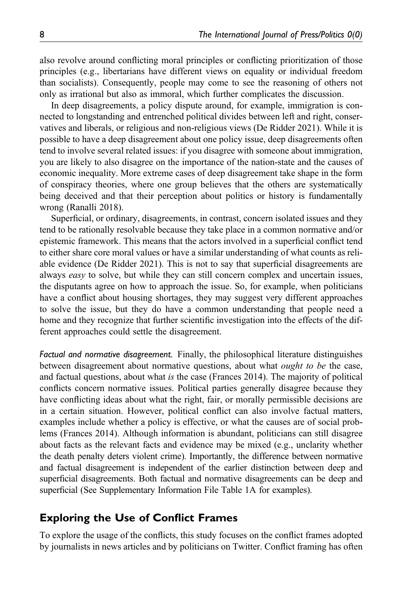also revolve around conflicting moral principles or conflicting prioritization of those principles (e.g., libertarians have different views on equality or individual freedom than socialists). Consequently, people may come to see the reasoning of others not only as irrational but also as immoral, which further complicates the discussion.

In deep disagreements, a policy dispute around, for example, immigration is connected to longstanding and entrenched political divides between left and right, conservatives and liberals, or religious and non-religious views (De Ridder 2021). While it is possible to have a deep disagreement about one policy issue, deep disagreements often tend to involve several related issues: if you disagree with someone about immigration, you are likely to also disagree on the importance of the nation-state and the causes of economic inequality. More extreme cases of deep disagreement take shape in the form of conspiracy theories, where one group believes that the others are systematically being deceived and that their perception about politics or history is fundamentally wrong (Ranalli 2018).

Superficial, or ordinary, disagreements, in contrast, concern isolated issues and they tend to be rationally resolvable because they take place in a common normative and/or epistemic framework. This means that the actors involved in a superficial conflict tend to either share core moral values or have a similar understanding of what counts as reliable evidence (De Ridder 2021). This is not to say that superficial disagreements are always *easy* to solve, but while they can still concern complex and uncertain issues, the disputants agree on how to approach the issue. So, for example, when politicians have a conflict about housing shortages, they may suggest very different approaches to solve the issue, but they do have a common understanding that people need a home and they recognize that further scientific investigation into the effects of the different approaches could settle the disagreement.

Factual and normative disagreement. Finally, the philosophical literature distinguishes between disagreement about normative questions, about what *ought to be* the case, and factual questions, about what is the case (Frances 2014). The majority of political conflicts concern normative issues. Political parties generally disagree because they have conflicting ideas about what the right, fair, or morally permissible decisions are in a certain situation. However, political conflict can also involve factual matters, examples include whether a policy is effective, or what the causes are of social problems (Frances 2014). Although information is abundant, politicians can still disagree about facts as the relevant facts and evidence may be mixed (e.g., unclarity whether the death penalty deters violent crime). Importantly, the difference between normative and factual disagreement is independent of the earlier distinction between deep and superficial disagreements. Both factual and normative disagreements can be deep and superficial (See [Supplementary Information File Table 1A](https://journals.sagepub.com/doi/suppl/10.1177/19401612221096633) for examples).

## Exploring the Use of Conflict Frames

To explore the usage of the conflicts, this study focuses on the conflict frames adopted by journalists in news articles and by politicians on Twitter. Conflict framing has often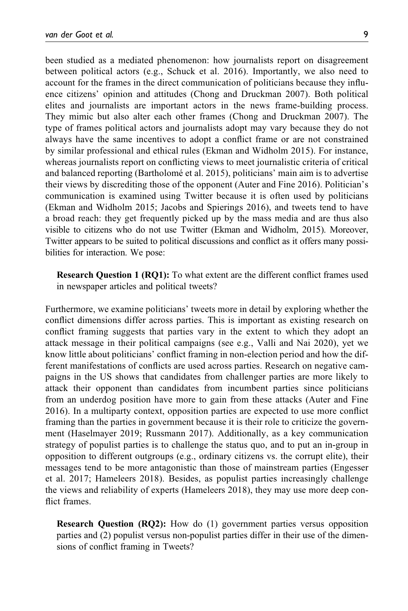been studied as a mediated phenomenon: how journalists report on disagreement between political actors (e.g., Schuck et al. 2016). Importantly, we also need to account for the frames in the direct communication of politicians because they influence citizens' opinion and attitudes (Chong and Druckman 2007). Both political elites and journalists are important actors in the news frame-building process. They mimic but also alter each other frames (Chong and Druckman 2007). The type of frames political actors and journalists adopt may vary because they do not always have the same incentives to adopt a conflict frame or are not constrained by similar professional and ethical rules (Ekman and Widholm 2015). For instance, whereas journalists report on conflicting views to meet journalistic criteria of critical and balanced reporting (Bartholomé et al. 2015), politicians' main aim is to advertise their views by discrediting those of the opponent (Auter and Fine 2016). Politician's communication is examined using Twitter because it is often used by politicians (Ekman and Widholm 2015; Jacobs and Spierings 2016), and tweets tend to have a broad reach: they get frequently picked up by the mass media and are thus also visible to citizens who do not use Twitter (Ekman and Widholm, 2015). Moreover, Twitter appears to be suited to political discussions and conflict as it offers many possibilities for interaction. We pose:

Research Question 1 (RQ1): To what extent are the different conflict frames used in newspaper articles and political tweets?

Furthermore, we examine politicians' tweets more in detail by exploring whether the conflict dimensions differ across parties. This is important as existing research on conflict framing suggests that parties vary in the extent to which they adopt an attack message in their political campaigns (see e.g., Valli and Nai 2020), yet we know little about politicians' conflict framing in non-election period and how the different manifestations of conflicts are used across parties. Research on negative campaigns in the US shows that candidates from challenger parties are more likely to attack their opponent than candidates from incumbent parties since politicians from an underdog position have more to gain from these attacks (Auter and Fine 2016). In a multiparty context, opposition parties are expected to use more conflict framing than the parties in government because it is their role to criticize the government (Haselmayer 2019; Russmann 2017). Additionally, as a key communication strategy of populist parties is to challenge the status quo, and to put an in-group in opposition to different outgroups (e.g., ordinary citizens vs. the corrupt elite), their messages tend to be more antagonistic than those of mainstream parties (Engesser et al. 2017; Hameleers 2018). Besides, as populist parties increasingly challenge the views and reliability of experts (Hameleers 2018), they may use more deep conflict frames.

Research Question (RQ2): How do (1) government parties versus opposition parties and (2) populist versus non-populist parties differ in their use of the dimensions of conflict framing in Tweets?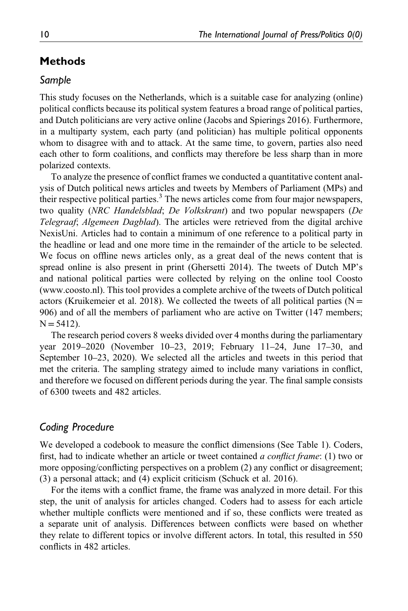# Methods

## Sample

This study focuses on the Netherlands, which is a suitable case for analyzing (online) political conflicts because its political system features a broad range of political parties, and Dutch politicians are very active online (Jacobs and Spierings 2016). Furthermore, in a multiparty system, each party (and politician) has multiple political opponents whom to disagree with and to attack. At the same time, to govern, parties also need each other to form coalitions, and conflicts may therefore be less sharp than in more polarized contexts.

To analyze the presence of conflict frames we conducted a quantitative content analysis of Dutch political news articles and tweets by Members of Parliament (MPs) and their respective political parties.<sup>3</sup> The news articles come from four major newspapers, two quality (NRC Handelsblad; De Volkskrant) and two popular newspapers (De Telegraaf; Algemeen Dagblad). The articles were retrieved from the digital archive NexisUni. Articles had to contain a minimum of one reference to a political party in the headline or lead and one more time in the remainder of the article to be selected. We focus on offline news articles only, as a great deal of the news content that is spread online is also present in print (Ghersetti 2014). The tweets of Dutch MP's and national political parties were collected by relying on the online tool Coosto [\(www.coosto.nl\)](www.coosto.nl). This tool provides a complete archive of the tweets of Dutch political actors (Kruikemeier et al. 2018). We collected the tweets of all political parties ( $N =$ 906) and of all the members of parliament who are active on Twitter (147 members;  $N = 5412$ ).

The research period covers 8 weeks divided over 4 months during the parliamentary year 2019–2020 (November 10–23, 2019; February 11–24, June 17–30, and September 10–23, 2020). We selected all the articles and tweets in this period that met the criteria. The sampling strategy aimed to include many variations in conflict, and therefore we focused on different periods during the year. The final sample consists of 6300 tweets and 482 articles.

## Coding Procedure

We developed a codebook to measure the conflict dimensions (See Table 1). Coders, first, had to indicate whether an article or tweet contained a conflict frame: (1) two or more opposing/conflicting perspectives on a problem (2) any conflict or disagreement; (3) a personal attack; and (4) explicit criticism (Schuck et al. 2016).

For the items with a conflict frame, the frame was analyzed in more detail. For this step, the unit of analysis for articles changed. Coders had to assess for each article whether multiple conflicts were mentioned and if so, these conflicts were treated as a separate unit of analysis. Differences between conflicts were based on whether they relate to different topics or involve different actors. In total, this resulted in 550 conflicts in 482 articles.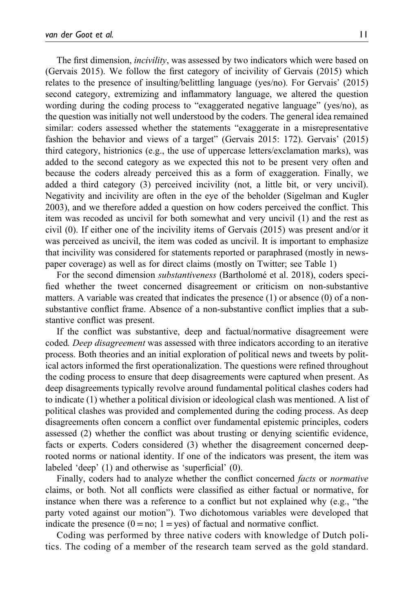The first dimension, *incivility*, was assessed by two indicators which were based on (Gervais 2015). We follow the first category of incivility of Gervais (2015) which relates to the presence of insulting/belittling language (yes/no). For Gervais' (2015) second category, extremizing and inflammatory language, we altered the question wording during the coding process to "exaggerated negative language" (yes/no), as the question was initially not well understood by the coders. The general idea remained similar: coders assessed whether the statements "exaggerate in a misrepresentative fashion the behavior and views of a target" (Gervais 2015: 172). Gervais' (2015) third category, histrionics (e.g., the use of uppercase letters/exclamation marks), was added to the second category as we expected this not to be present very often and because the coders already perceived this as a form of exaggeration. Finally, we added a third category (3) perceived incivility (not, a little bit, or very uncivil). Negativity and incivility are often in the eye of the beholder (Sigelman and Kugler 2003), and we therefore added a question on how coders perceived the conflict. This item was recoded as uncivil for both somewhat and very uncivil (1) and the rest as civil (0). If either one of the incivility items of Gervais (2015) was present and/or it was perceived as uncivil, the item was coded as uncivil. It is important to emphasize that incivility was considered for statements reported or paraphrased (mostly in newspaper coverage) as well as for direct claims (mostly on Twitter; see Table 1)

For the second dimension substantiveness (Bartholomé et al. 2018), coders specified whether the tweet concerned disagreement or criticism on non-substantive matters. A variable was created that indicates the presence (1) or absence (0) of a nonsubstantive conflict frame. Absence of a non-substantive conflict implies that a substantive conflict was present.

If the conflict was substantive, deep and factual/normative disagreement were coded. Deep disagreement was assessed with three indicators according to an iterative process. Both theories and an initial exploration of political news and tweets by political actors informed the first operationalization. The questions were refined throughout the coding process to ensure that deep disagreements were captured when present. As deep disagreements typically revolve around fundamental political clashes coders had to indicate (1) whether a political division or ideological clash was mentioned. A list of political clashes was provided and complemented during the coding process. As deep disagreements often concern a conflict over fundamental epistemic principles, coders assessed (2) whether the conflict was about trusting or denying scientific evidence, facts or experts. Coders considered (3) whether the disagreement concerned deeprooted norms or national identity. If one of the indicators was present, the item was labeled 'deep' (1) and otherwise as 'superficial' (0).

Finally, coders had to analyze whether the conflict concerned facts or normative claims, or both. Not all conflicts were classified as either factual or normative, for instance when there was a reference to a conflict but not explained why (e.g., "the party voted against our motion"). Two dichotomous variables were developed that indicate the presence  $(0 = no; 1 = yes)$  of factual and normative conflict.

Coding was performed by three native coders with knowledge of Dutch politics. The coding of a member of the research team served as the gold standard.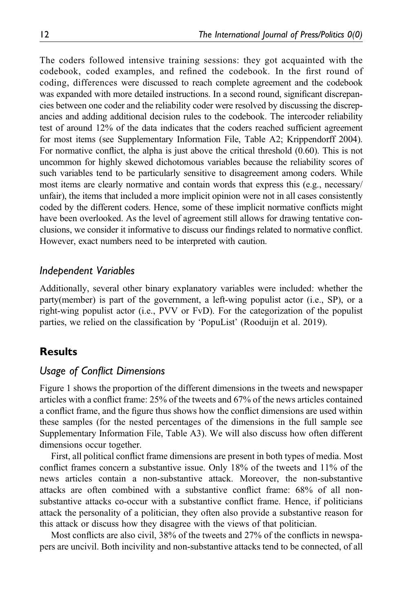The coders followed intensive training sessions: they got acquainted with the codebook, coded examples, and refined the codebook. In the first round of coding, differences were discussed to reach complete agreement and the codebook was expanded with more detailed instructions. In a second round, significant discrepancies between one coder and the reliability coder were resolved by discussing the discrepancies and adding additional decision rules to the codebook. The intercoder reliability test of around 12% of the data indicates that the coders reached sufficient agreement for most items (see [Supplementary Information File, Table A2](https://journals.sagepub.com/doi/suppl/10.1177/19401612221096633); Krippendorff 2004). For normative conflict, the alpha is just above the critical threshold (0.60). This is not uncommon for highly skewed dichotomous variables because the reliability scores of such variables tend to be particularly sensitive to disagreement among coders. While most items are clearly normative and contain words that express this (e.g., necessary/ unfair), the items that included a more implicit opinion were not in all cases consistently coded by the different coders. Hence, some of these implicit normative conflicts might have been overlooked. As the level of agreement still allows for drawing tentative conclusions, we consider it informative to discuss our findings related to normative conflict. However, exact numbers need to be interpreted with caution.

## Independent Variables

Additionally, several other binary explanatory variables were included: whether the party(member) is part of the government, a left-wing populist actor (i.e., SP), or a right-wing populist actor (i.e., PVV or FvD). For the categorization of the populist parties, we relied on the classification by 'PopuList' (Rooduijn et al. 2019).

## Results

## Usage of Conflict Dimensions

Figure 1 shows the proportion of the different dimensions in the tweets and newspaper articles with a conflict frame: 25% of the tweets and 67% of the news articles contained a conflict frame, and the figure thus shows how the conflict dimensions are used within these samples (for the nested percentages of the dimensions in the full sample see [Supplementary Information File, Table A3](https://journals.sagepub.com/doi/suppl/10.1177/19401612221096633)). We will also discuss how often different dimensions occur together.

First, all political conflict frame dimensions are present in both types of media. Most conflict frames concern a substantive issue. Only 18% of the tweets and 11% of the news articles contain a non-substantive attack. Moreover, the non-substantive attacks are often combined with a substantive conflict frame: 68% of all nonsubstantive attacks co-occur with a substantive conflict frame. Hence, if politicians attack the personality of a politician, they often also provide a substantive reason for this attack or discuss how they disagree with the views of that politician.

Most conflicts are also civil, 38% of the tweets and 27% of the conflicts in newspapers are uncivil. Both incivility and non-substantive attacks tend to be connected, of all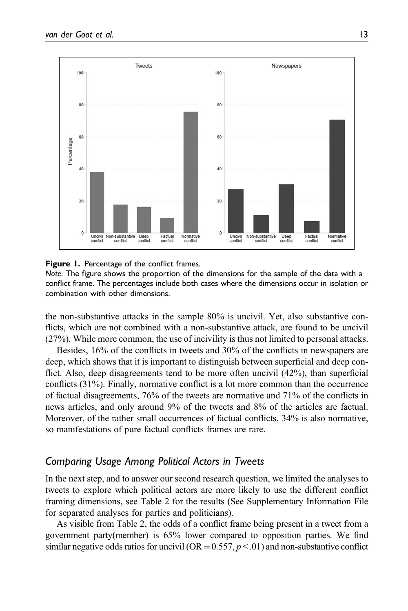

**Figure 1.** Percentage of the conflict frames.

Note. The figure shows the proportion of the dimensions for the sample of the data with a conflict frame. The percentages include both cases where the dimensions occur in isolation or combination with other dimensions.

the non-substantive attacks in the sample 80% is uncivil. Yet, also substantive conflicts, which are not combined with a non-substantive attack, are found to be uncivil (27%). While more common, the use of incivility is thus not limited to personal attacks.

Besides, 16% of the conflicts in tweets and 30% of the conflicts in newspapers are deep, which shows that it is important to distinguish between superficial and deep conflict. Also, deep disagreements tend to be more often uncivil (42%), than superficial conflicts (31%). Finally, normative conflict is a lot more common than the occurrence of factual disagreements, 76% of the tweets are normative and 71% of the conflicts in news articles, and only around 9% of the tweets and 8% of the articles are factual. Moreover, of the rather small occurrences of factual conflicts, 34% is also normative, so manifestations of pure factual conflicts frames are rare.

# Comparing Usage Among Political Actors in Tweets

In the next step, and to answer our second research question, we limited the analyses to tweets to explore which political actors are more likely to use the different conflict framing dimensions, see Table 2 for the results (See [Supplementary Information File](https://journals.sagepub.com/doi/suppl/10.1177/19401612221096633) for separated analyses for parties and politicians).

As visible from Table 2, the odds of a conflict frame being present in a tweet from a government party(member) is 65% lower compared to opposition parties. We find similar negative odds ratios for uncivil (OR = 0.557,  $p < 0.01$ ) and non-substantive conflict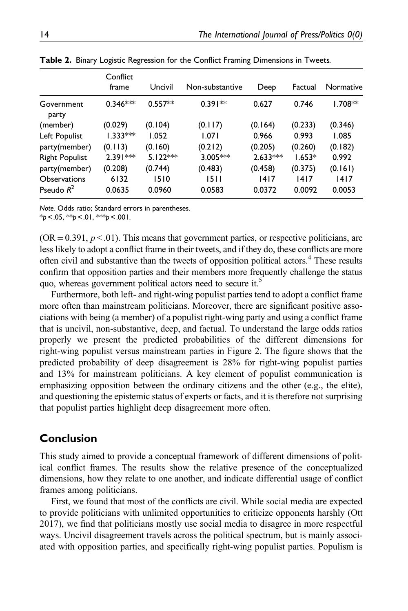|       | Deep                                                                                   | Factual                                                                                       | Normative      |
|-------|----------------------------------------------------------------------------------------|-----------------------------------------------------------------------------------------------|----------------|
|       | 0.627                                                                                  | 0.746                                                                                         | $1.708**$      |
|       | (0.164)                                                                                | (0.233)                                                                                       | (0.346)        |
| 1.071 | 0.966                                                                                  | 0.993                                                                                         | 1.085          |
|       | (0.205)                                                                                | (0.260)                                                                                       | (0.182)        |
|       |                                                                                        | $1.653*$                                                                                      | 0.992          |
|       | (0.458)                                                                                | (0.375)                                                                                       | (0.161)        |
| 1510  | 1417<br>0.0372                                                                         | 1417<br>0.0092                                                                                | 1417<br>0.0053 |
|       | Uncivil<br>$0.557**$<br>(0.104)<br>1.052<br>(0.160)<br>$5.122***$<br>(0.744)<br>0.0960 | Non-substantive<br>$0.391**$<br>(0.117)<br>(0.212)<br>$3.005***$<br>(0.483)<br>1511<br>0.0583 | $2.633***$     |

Table 2. Binary Logistic Regression for the Conflict Framing Dimensions in Tweets.

Note. Odds ratio; Standard errors in parentheses.

 $*_{p}$  < .05,  $*_{p}$  < .01,  $*_{p}$  < .001.

 $(OR = 0.391, p < .01)$ . This means that government parties, or respective politicians, are less likely to adopt a conflict frame in their tweets, and if they do, these conflicts are more often civil and substantive than the tweets of opposition political actors.<sup>4</sup> These results confirm that opposition parties and their members more frequently challenge the status quo, whereas government political actors need to secure it.<sup>5</sup>

Furthermore, both left- and right-wing populist parties tend to adopt a conflict frame more often than mainstream politicians. Moreover, there are significant positive associations with being (a member) of a populist right-wing party and using a conflict frame that is uncivil, non-substantive, deep, and factual. To understand the large odds ratios properly we present the predicted probabilities of the different dimensions for right-wing populist versus mainstream parties in Figure 2. The figure shows that the predicted probability of deep disagreement is 28% for right-wing populist parties and 13% for mainstream politicians. A key element of populist communication is emphasizing opposition between the ordinary citizens and the other (e.g., the elite), and questioning the epistemic status of experts or facts, and it is therefore not surprising that populist parties highlight deep disagreement more often.

## Conclusion

This study aimed to provide a conceptual framework of different dimensions of political conflict frames. The results show the relative presence of the conceptualized dimensions, how they relate to one another, and indicate differential usage of conflict frames among politicians.

First, we found that most of the conflicts are civil. While social media are expected to provide politicians with unlimited opportunities to criticize opponents harshly (Ott 2017), we find that politicians mostly use social media to disagree in more respectful ways. Uncivil disagreement travels across the political spectrum, but is mainly associated with opposition parties, and specifically right-wing populist parties. Populism is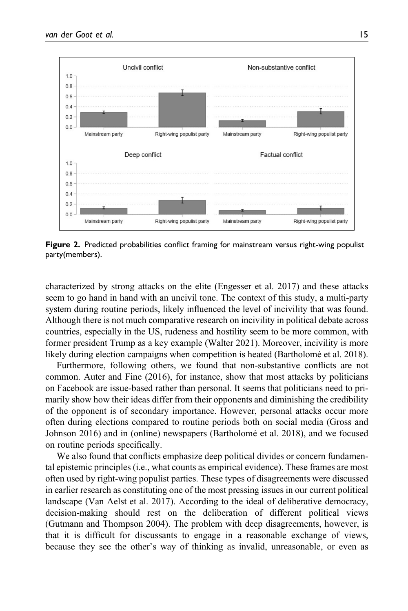

Figure 2. Predicted probabilities conflict framing for mainstream versus right-wing populist party(members).

characterized by strong attacks on the elite (Engesser et al. 2017) and these attacks seem to go hand in hand with an uncivil tone. The context of this study, a multi-party system during routine periods, likely influenced the level of incivility that was found. Although there is not much comparative research on incivility in political debate across countries, especially in the US, rudeness and hostility seem to be more common, with former president Trump as a key example (Walter 2021). Moreover, incivility is more likely during election campaigns when competition is heated (Bartholomé et al. 2018).

Furthermore, following others, we found that non-substantive conflicts are not common. Auter and Fine (2016), for instance, show that most attacks by politicians on Facebook are issue-based rather than personal. It seems that politicians need to primarily show how their ideas differ from their opponents and diminishing the credibility of the opponent is of secondary importance. However, personal attacks occur more often during elections compared to routine periods both on social media (Gross and Johnson 2016) and in (online) newspapers (Bartholomé et al. 2018), and we focused on routine periods specifically.

We also found that conflicts emphasize deep political divides or concern fundamental epistemic principles (i.e., what counts as empirical evidence). These frames are most often used by right-wing populist parties. These types of disagreements were discussed in earlier research as constituting one of the most pressing issues in our current political landscape (Van Aelst et al. 2017). According to the ideal of deliberative democracy, decision-making should rest on the deliberation of different political views (Gutmann and Thompson 2004). The problem with deep disagreements, however, is that it is difficult for discussants to engage in a reasonable exchange of views, because they see the other's way of thinking as invalid, unreasonable, or even as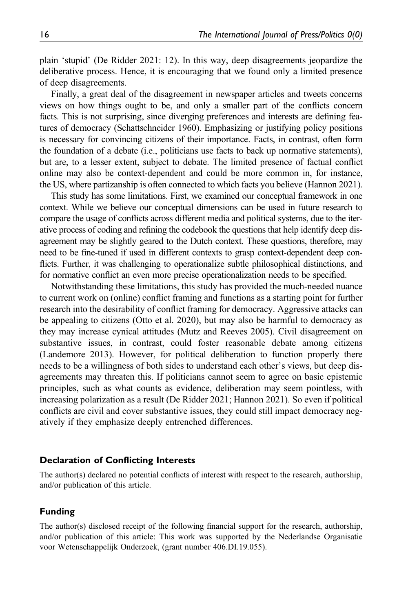plain 'stupid' (De Ridder 2021: 12). In this way, deep disagreements jeopardize the deliberative process. Hence, it is encouraging that we found only a limited presence of deep disagreements.

Finally, a great deal of the disagreement in newspaper articles and tweets concerns views on how things ought to be, and only a smaller part of the conflicts concern facts. This is not surprising, since diverging preferences and interests are defining features of democracy (Schattschneider 1960). Emphasizing or justifying policy positions is necessary for convincing citizens of their importance. Facts, in contrast, often form the foundation of a debate (i.e., politicians use facts to back up normative statements), but are, to a lesser extent, subject to debate. The limited presence of factual conflict online may also be context-dependent and could be more common in, for instance, the US, where partizanship is often connected to which facts you believe (Hannon 2021).

This study has some limitations. First, we examined our conceptual framework in one context. While we believe our conceptual dimensions can be used in future research to compare the usage of conflicts across different media and political systems, due to the iterative process of coding and refining the codebook the questions that help identify deep disagreement may be slightly geared to the Dutch context. These questions, therefore, may need to be fine-tuned if used in different contexts to grasp context-dependent deep conflicts. Further, it was challenging to operationalize subtle philosophical distinctions, and for normative conflict an even more precise operationalization needs to be specified.

Notwithstanding these limitations, this study has provided the much-needed nuance to current work on (online) conflict framing and functions as a starting point for further research into the desirability of conflict framing for democracy. Aggressive attacks can be appealing to citizens (Otto et al. 2020), but may also be harmful to democracy as they may increase cynical attitudes (Mutz and Reeves 2005). Civil disagreement on substantive issues, in contrast, could foster reasonable debate among citizens (Landemore 2013). However, for political deliberation to function properly there needs to be a willingness of both sides to understand each other's views, but deep disagreements may threaten this. If politicians cannot seem to agree on basic epistemic principles, such as what counts as evidence, deliberation may seem pointless, with increasing polarization as a result (De Ridder 2021; Hannon 2021). So even if political conflicts are civil and cover substantive issues, they could still impact democracy negatively if they emphasize deeply entrenched differences.

#### Declaration of Conflicting Interests

The author(s) declared no potential conflicts of interest with respect to the research, authorship, and/or publication of this article.

#### Funding

The author(s) disclosed receipt of the following financial support for the research, authorship, and/or publication of this article: This work was supported by the Nederlandse Organisatie voor Wetenschappelijk Onderzoek, (grant number 406.DI.19.055).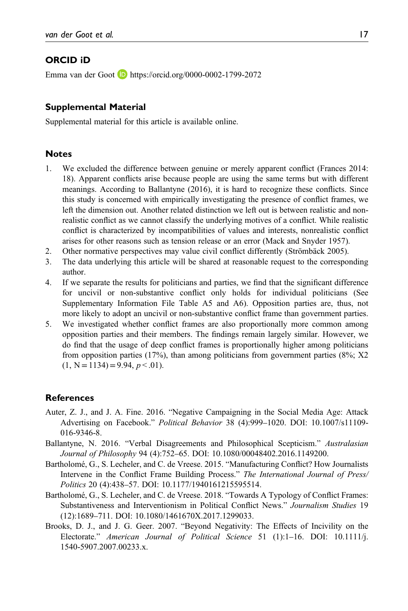#### ORCID iD

Emma van der Goot **<https://orcid.org/0000-0002-1799-2072>** 

#### Supplemental Material

Supplemental material for this article is available online.

#### **Notes**

- 1. We excluded the difference between genuine or merely apparent conflict (Frances 2014: 18). Apparent conflicts arise because people are using the same terms but with different meanings. According to Ballantyne (2016), it is hard to recognize these conflicts. Since this study is concerned with empirically investigating the presence of conflict frames, we left the dimension out. Another related distinction we left out is between realistic and nonrealistic conflict as we cannot classify the underlying motives of a conflict. While realistic conflict is characterized by incompatibilities of values and interests, nonrealistic conflict arises for other reasons such as tension release or an error (Mack and Snyder 1957).
- 2. Other normative perspectives may value civil conflict differently (Strömbäck 2005).
- 3. The data underlying this article will be shared at reasonable request to the corresponding author.
- 4. If we separate the results for politicians and parties, we find that the significant difference for uncivil or non-substantive conflict only holds for individual politicians (See Supplementary Information File Table A5 and A6). Opposition parties are, thus, not more likely to adopt an uncivil or non-substantive conflict frame than government parties.
- 5. We investigated whether conflict frames are also proportionally more common among opposition parties and their members. The findings remain largely similar. However, we do find that the usage of deep conflict frames is proportionally higher among politicians from opposition parties (17%), than among politicians from government parties (8%; X2  $(1, N = 1134) = 9.94, p < 0.01$ .

#### References

- Auter, Z. J., and J. A. Fine. 2016. "Negative Campaigning in the Social Media Age: Attack Advertising on Facebook." Political Behavior 38 (4):999–1020. DOI: [10.1007/s11109-](http://doi.org/10.1007/s11109-016-9346-8) [016-9346-8.](http://doi.org/10.1007/s11109-016-9346-8)
- Ballantyne, N. 2016. "Verbal Disagreements and Philosophical Scepticism." Australasian Journal of Philosophy 94 (4):752–65. DOI: [10.1080/00048402.2016.1149200](http://doi.org/10.1080/00048402.2016.1149200).
- Bartholomé, G., S. Lecheler, and C. de Vreese. 2015. "Manufacturing Conflict? How Journalists Intervene in the Conflict Frame Building Process." The International Journal of Press/ Politics 20 (4):438–57. DOI: [10.1177/1940161215595514.](http://doi.org/10.1177/1940161215595514)
- Bartholomé, G., S. Lecheler, and C. de Vreese. 2018. "Towards A Typology of Conflict Frames: Substantiveness and Interventionism in Political Conflict News." Journalism Studies 19 (12):1689–711. DOI: [10.1080/1461670X.2017.1299033.](http://doi.org/10.1080/1461670X.2017.1299033)
- Brooks, D. J., and J. G. Geer. 2007. "Beyond Negativity: The Effects of Incivility on the Electorate." American Journal of Political Science 51 (1):1-16. DOI: [10.1111/j.](http://doi.org/10.1111/j.1540-5907.2007.00233.x) [1540-5907.2007.00233.x.](http://doi.org/10.1111/j.1540-5907.2007.00233.x)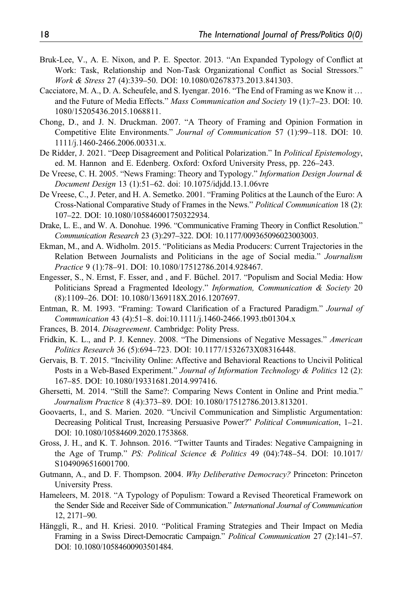- Bruk-Lee, V., A. E. Nixon, and P. E. Spector. 2013. "An Expanded Typology of Conflict at Work: Task, Relationship and Non-Task Organizational Conflict as Social Stressors." Work & Stress 27 (4):339–50. DOI: [10.1080/02678373.2013.841303](http://doi.org/10.1080/02678373.2013.841303).
- Cacciatore, M. A., D. A. Scheufele, and S. Iyengar. 2016. "The End of Framing as we Know it … and the Future of Media Effects." Mass Communication and Society 19 (1):7–23. DOI: [10.](http://doi.org/10.1080/15205436.2015.1068811) [1080/15205436.2015.1068811](http://doi.org/10.1080/15205436.2015.1068811).
- Chong, D., and J. N. Druckman. 2007. "A Theory of Framing and Opinion Formation in Competitive Elite Environments." Journal of Communication 57 (1):99–118. DOI: [10.](http://doi.org/10.1111/j.1460-2466.2006.00331.x) [1111/j.1460-2466.2006.00331.x.](http://doi.org/10.1111/j.1460-2466.2006.00331.x)
- De Ridder, J. 2021. "Deep Disagreement and Political Polarization." In Political Epistemology, ed. M. Hannon and E. Edenberg. Oxford: Oxford University Press, pp. 226–243.
- De Vreese, C. H. 2005. "News Framing: Theory and Typology." Information Design Journal & Document Design 13 (1):51–62. doi: [10.1075/idjdd.13.1.06vre](http://doi.org/10.1075/idjdd.13.1.06vre)
- De Vreese, C., J. Peter, and H. A. Semetko. 2001. "Framing Politics at the Launch of the Euro: A Cross-National Comparative Study of Frames in the News." Political Communication 18 (2): 107–22. DOI: [10.1080/105846001750322934.](http://doi.org/10.1080/105846001750322934)
- Drake, L. E., and W. A. Donohue. 1996. "Communicative Framing Theory in Conflict Resolution." Communication Research 23 (3):297–322. DOI: [10.1177/009365096023003003](http://doi.org/10.1177/009365096023003003).
- Ekman, M., and A. Widholm. 2015. "Politicians as Media Producers: Current Trajectories in the Relation Between Journalists and Politicians in the age of Social media." Journalism Practice 9 (1):78–91. DOI: [10.1080/17512786.2014.928467](http://doi.org/10.1080/17512786.2014.928467).
- Engesser, S., N. Ernst, F. Esser, and , and F. Büchel. 2017. "Populism and Social Media: How Politicians Spread a Fragmented Ideology." Information, Communication & Society 20 (8):1109–26. DOI: [10.1080/1369118X.2016.1207697.](https://doi.org/10.1080/1369118X.2016.1207697)
- Entman, R. M. 1993. "Framing: Toward Clarification of a Fractured Paradigm." Journal of Communication 43 (4):51–8. doi[:10.1111/j.1460-2466.1993.tb01304.x](http://doi.org/10.1111/j.1460-2466.1993.tb01304.x)
- Frances, B. 2014. Disagreement. Cambridge: Polity Press.
- Fridkin, K. L., and P. J. Kenney. 2008. "The Dimensions of Negative Messages." American Politics Research 36 (5):694–723. DOI: [10.1177/1532673X08316448](http://doi.org/10.1177/1532673X08316448).
- Gervais, B. T. 2015. "Incivility Online: Affective and Behavioral Reactions to Uncivil Political Posts in a Web-Based Experiment." Journal of Information Technology & Politics 12 (2): 167–85. DOI: [10.1080/19331681.2014.997416.](http://doi.org/10.1080/19331681.2014.997416)
- Ghersetti, M. 2014. "Still the Same?: Comparing News Content in Online and Print media." Journalism Practice 8 (4):373–89. DOI: [10.1080/17512786.2013.813201.](http://doi.org/10.1080/17512786.2013.813201)
- Goovaerts, I., and S. Marien. 2020. "Uncivil Communication and Simplistic Argumentation: Decreasing Political Trust, Increasing Persuasive Power?" Political Communication, 1–21. DOI: [10.1080/10584609.2020.1753868](http://doi.org/10.1080/10584609.2020.1753868).
- Gross, J. H., and K. T. Johnson. 2016. "Twitter Taunts and Tirades: Negative Campaigning in the Age of Trump." PS: Political Science & Politics 49 (04):748–54. DOI: [10.1017/](http://doi.org/10.1017/S1049096516001700) [S1049096516001700.](http://doi.org/10.1017/S1049096516001700)
- Gutmann, A., and D. F. Thompson. 2004. Why Deliberative Democracy? Princeton: Princeton University Press.
- Hameleers, M. 2018. "A Typology of Populism: Toward a Revised Theoretical Framework on the Sender Side and Receiver Side of Communication." International Journal of Communication 12, 2171–90.
- Hänggli, R., and H. Kriesi. 2010. "Political Framing Strategies and Their Impact on Media Framing in a Swiss Direct-Democratic Campaign." Political Communication 27 (2):141–57. DOI: [10.1080/10584600903501484](http://doi.org/10.1080/10584600903501484).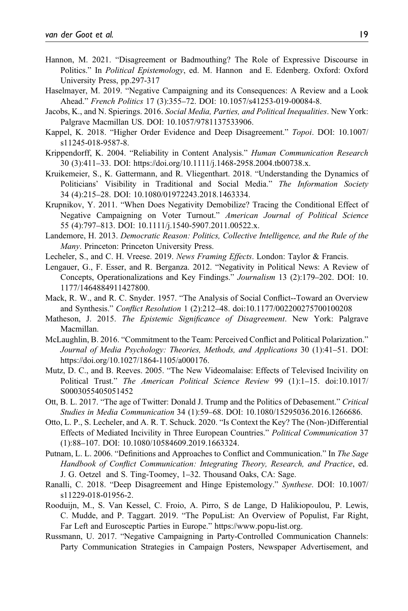- Hannon, M. 2021. "Disagreement or Badmouthing? The Role of Expressive Discourse in Politics." In Political Epistemology, ed. M. Hannon and E. Edenberg. Oxford: Oxford University Press, pp.297-317
- Haselmayer, M. 2019. "Negative Campaigning and its Consequences: A Review and a Look Ahead." French Politics 17 (3):355–72. DOI: [10.1057/s41253-019-00084-8.](http://doi.org/10.1057/s41253-019-00084-8)
- Jacobs, K., and N. Spierings. 2016. Social Media, Parties, and Political Inequalities. New York: Palgrave Macmillan US. DOI: [10.1057/9781137533906](http://doi.org/10.1057/9781137533906).
- Kappel, K. 2018. "Higher Order Evidence and Deep Disagreement." Topoi. DOI: [10.1007/](http://doi.org/10.1007/s11245-018-9587-8) [s11245-018-9587-8.](http://doi.org/10.1007/s11245-018-9587-8)
- Krippendorff, K. 2004. "Reliability in Content Analysis." Human Communication Research 30 (3):411–33. DOI: [https://doi.org/10.1111/j.1468-2958.2004.tb00738.x.](https://doi.org/10.1111/j.1468-2958.2004.tb00738.x)
- Kruikemeier, S., K. Gattermann, and R. Vliegenthart. 2018. "Understanding the Dynamics of Politicians' Visibility in Traditional and Social Media." The Information Society 34 (4):215–28. DOI: [10.1080/01972243.2018.1463334.](http://doi.org/10.1080/01972243.2018.1463334)
- Krupnikov, Y. 2011. "When Does Negativity Demobilize? Tracing the Conditional Effect of Negative Campaigning on Voter Turnout." American Journal of Political Science 55 (4):797–813. DOI: [10.1111/j.1540-5907.2011.00522.x.](http://doi.org/10.1111/j.1540-5907.2011.00522.x)
- Landemore, H. 2013. Democratic Reason: Politics, Collective Intelligence, and the Rule of the Many. Princeton: Princeton University Press.
- Lecheler, S., and C. H. Vreese. 2019. News Framing Effects. London: Taylor & Francis.
- Lengauer, G., F. Esser, and R. Berganza. 2012. "Negativity in Political News: A Review of Concepts, Operationalizations and Key Findings." Journalism 13 (2):179–202. DOI: [10.](http://doi.org/10.1177/1464884911427800) [1177/1464884911427800](http://doi.org/10.1177/1464884911427800).
- Mack, R. W., and R. C. Snyder. 1957. "The Analysis of Social Conflict--Toward an Overview and Synthesis." Conflict Resolution 1 (2):212–48. doi[:10.1177/002200275700100208](http://doi.org/10.1177/002200275700100208)
- Matheson, J. 2015. The Epistemic Significance of Disagreement. New York: Palgrave Macmillan.
- McLaughlin, B. 2016. "Commitment to the Team: Perceived Conflict and Political Polarization." Journal of Media Psychology: Theories, Methods, and Applications 30 (1):41–51. DOI: [https://doi.org/10.1027/1864-1105/a000176.](https://doi.org/10.1027/1864-1105/a000176)
- Mutz, D. C., and B. Reeves. 2005. "The New Videomalaise: Effects of Televised Incivility on Political Trust." The American Political Science Review 99 (1):1–15. doi[:10.1017/](http://doi.org/10.1017/S0003055405051452) [S0003055405051452](http://doi.org/10.1017/S0003055405051452)
- Ott, B. L. 2017. "The age of Twitter: Donald J. Trump and the Politics of Debasement." Critical Studies in Media Communication 34 (1):59–68. DOI: [10.1080/15295036.2016.1266686.](http://doi.org/10.1080/15295036.2016.1266686)
- Otto, L. P., S. Lecheler, and A. R. T. Schuck. 2020. "Is Context the Key? The (Non-)Differential Effects of Mediated Incivility in Three European Countries." Political Communication 37 (1):88–107. DOI: [10.1080/10584609.2019.1663324](http://doi.org/10.1080/10584609.2019.1663324).
- Putnam, L. L. 2006. "Definitions and Approaches to Conflict and Communication." In The Sage Handbook of Conflict Communication: Integrating Theory, Research, and Practice, ed. J. G. Oetzel and S. Ting-Toomey, 1–32. Thousand Oaks, CA: Sage.
- Ranalli, C. 2018. "Deep Disagreement and Hinge Epistemology." Synthese. DOI: [10.1007/](http://doi.org/10.1007/s11229-018-01956-2) [s11229-018-01956-2](http://doi.org/10.1007/s11229-018-01956-2).
- Rooduijn, M., S. Van Kessel, C. Froio, A. Pirro, S de Lange, D Halikiopoulou, P. Lewis, C. Mudde, and P. Taggart. 2019. "The PopuList: An Overview of Populist, Far Right, Far Left and Eurosceptic Parties in Europe." <https://www.popu-list.org>.
- Russmann, U. 2017. "Negative Campaigning in Party-Controlled Communication Channels: Party Communication Strategies in Campaign Posters, Newspaper Advertisement, and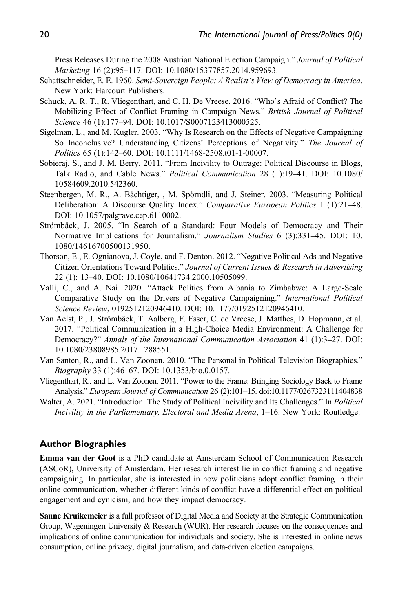Press Releases During the 2008 Austrian National Election Campaign." Journal of Political Marketing 16 (2):95–117. DOI: [10.1080/15377857.2014.959693](http://doi.org/10.1080/15377857.2014.959693).

- Schattschneider, E. E. 1960. Semi-Sovereign People: A Realist's View of Democracy in America. New York: Harcourt Publishers.
- Schuck, A. R. T., R. Vliegenthart, and C. H. De Vreese. 2016. "Who's Afraid of Conflict? The Mobilizing Effect of Conflict Framing in Campaign News." British Journal of Political Science 46 (1):177–94. DOI: [10.1017/S0007123413000525.](http://doi.org/10.1017/S0007123413000525)
- Sigelman, L., and M. Kugler. 2003. "Why Is Research on the Effects of Negative Campaigning So Inconclusive? Understanding Citizens' Perceptions of Negativity." The Journal of Politics 65 (1):142–60. DOI: [10.1111/1468-2508.t01-1-00007](http://doi.org/10.1111/1468-2508.t01-1-00007).
- Sobieraj, S., and J. M. Berry. 2011. "From Incivility to Outrage: Political Discourse in Blogs, Talk Radio, and Cable News." Political Communication 28 (1):19–41. DOI: [10.1080/](http://doi.org/10.1080/10584609.2010.542360) [10584609.2010.542360](http://doi.org/10.1080/10584609.2010.542360).
- Steenbergen, M. R., A. Bächtiger, , M. Spörndli, and J. Steiner. 2003. "Measuring Political Deliberation: A Discourse Quality Index." Comparative European Politics 1 (1):21–48. DOI: [10.1057/palgrave.cep.6110002.](https://doi.org/10.1057/palgrave.cep.6110002)
- Strömbäck, J. 2005. "In Search of a Standard: Four Models of Democracy and Their Normative Implications for Journalism." Journalism Studies 6 (3):331–45. DOI: [10.](http://doi.org/10.1080/14616700500131950) [1080/14616700500131950](http://doi.org/10.1080/14616700500131950).
- Thorson, E., E. Ognianova, J. Coyle, and F. Denton. 2012. "Negative Political Ads and Negative Citizen Orientations Toward Politics." Journal of Current Issues & Research in Advertising 22 (1): 13–40. DOI: [10.1080/10641734.2000.10505099.](https://doi.org/10.1080/10641734.2000.10505099)
- Valli, C., and A. Nai. 2020. "Attack Politics from Albania to Zimbabwe: A Large-Scale Comparative Study on the Drivers of Negative Campaigning." International Political Science Review, 0192512120946410. DOI: [10.1177/0192512120946410.](http://doi.org/10.1177/0192512120946410)
- Van Aelst, P., J. Strömbäck, T. Aalberg, F. Esser, C. de Vreese, J. Matthes, D. Hopmann, et al. 2017. "Political Communication in a High-Choice Media Environment: A Challenge for Democracy?" Annals of the International Communication Association 41 (1):3–27. DOI: [10.1080/23808985.2017.1288551.](https://doi.org/10.1080/23808985.2017.1288551)
- Van Santen, R., and L. Van Zoonen. 2010. "The Personal in Political Television Biographies." Biography 33 (1):46–67. DOI: [10.1353/bio.0.0157](http://doi.org/10.1353/bio.0.0157).
- Vliegenthart, R., and L. Van Zoonen. 2011. "Power to the Frame: Bringing Sociology Back to Frame Analysis." European Journal of Communication 26 (2):101–15. doi[:10.1177/0267323111404838](http://doi.org/10.1177/0267323111404838)
- Walter, A. 2021. "Introduction: The Study of Political Incivility and Its Challenges." In *Political* Incivility in the Parliamentary, Electoral and Media Arena, 1–16. New York: Routledge.

#### Author Biographies

Emma van der Goot is a PhD candidate at Amsterdam School of Communication Research (ASCoR), University of Amsterdam. Her research interest lie in conflict framing and negative campaigning. In particular, she is interested in how politicians adopt conflict framing in their online communication, whether different kinds of conflict have a differential effect on political engagement and cynicism, and how they impact democracy.

Sanne Kruikemeier is a full professor of Digital Media and Society at the Strategic Communication Group, Wageningen University & Research (WUR). Her research focuses on the consequences and implications of online communication for individuals and society. She is interested in online news consumption, online privacy, digital journalism, and data-driven election campaigns.